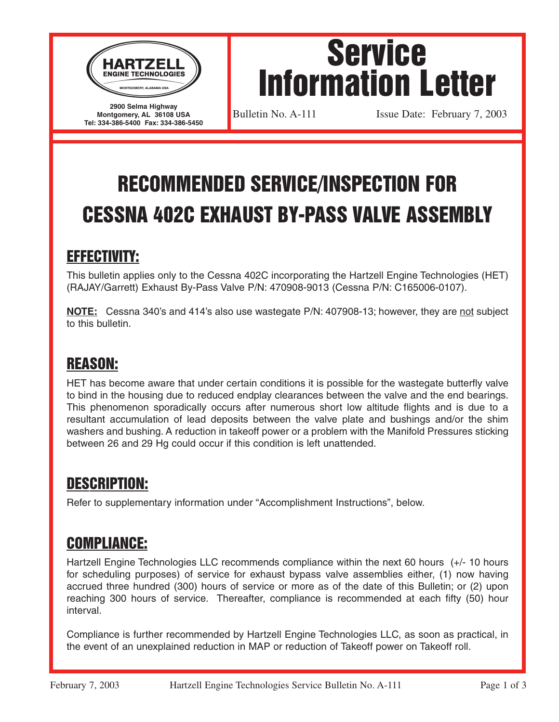

**Montgomery, AL 36108 USA Tel: 334-386-5400 Fax: 334-386-5450**

Service Information Letter

Bulletin No. A-111 **Issue Date: February 7, 2003** 

# RECOMMENDED SERVICE/INSPECTION FOR CESSNA 402C EXHAUST BY-PASS VALVE ASSEMBLY

## EFFECTIVITY:

This bulletin applies only to the Cessna 402C incorporating the Hartzell Engine Technologies (HET) (RAJAY/Garrett) Exhaust By-Pass Valve P/N: 470908-9013 (Cessna P/N: C165006-0107).

**NOTE:** Cessna 340's and 414's also use wastegate P/N: 407908-13; however, they are not subject to this bulletin.

#### REASON:

HET has become aware that under certain conditions it is possible for the wastegate butterfly valve to bind in the housing due to reduced endplay clearances between the valve and the end bearings. This phenomenon sporadically occurs after numerous short low altitude flights and is due to a resultant accumulation of lead deposits between the valve plate and bushings and/or the shim washers and bushing. A reduction in takeoff power or a problem with the Manifold Pressures sticking between 26 and 29 Hg could occur if this condition is left unattended.

## DESCRIPTION:

Refer to supplementary information under "Accomplishment Instructions", below.

## COMPLIANCE:

Hartzell Engine Technologies LLC recommends compliance within the next 60 hours (+/- 10 hours for scheduling purposes) of service for exhaust bypass valve assemblies either, (1) now having accrued three hundred (300) hours of service or more as of the date of this Bulletin; or (2) upon reaching 300 hours of service. Thereafter, compliance is recommended at each fifty (50) hour interval.

Compliance is further recommended by Hartzell Engine Technologies LLC, as soon as practical, in the event of an unexplained reduction in MAP or reduction of Takeoff power on Takeoff roll.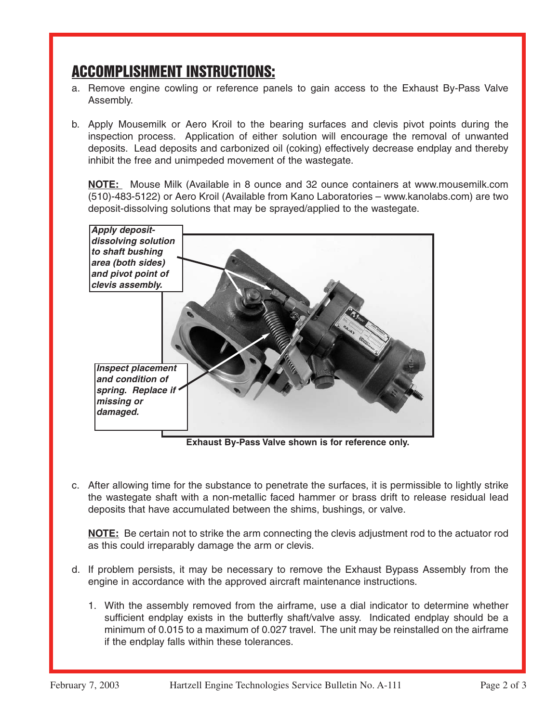#### ACCOMPLISHMENT INSTRUCTIONS:

- a. Remove engine cowling or reference panels to gain access to the Exhaust By-Pass Valve Assembly.
- b. Apply Mousemilk or Aero Kroil to the bearing surfaces and clevis pivot points during the inspection process. Application of either solution will encourage the removal of unwanted deposits. Lead deposits and carbonized oil (coking) effectively decrease endplay and thereby inhibit the free and unimpeded movement of the wastegate.

**NOTE:** Mouse Milk (Available in 8 ounce and 32 ounce containers at www.mousemilk.com (510)-483-5122) or Aero Kroil (Available from Kano Laboratories – www.kanolabs.com) are two deposit-dissolving solutions that may be sprayed/applied to the wastegate.



**Exhaust By-Pass Valve shown is for reference only.**

c. After allowing time for the substance to penetrate the surfaces, it is permissible to lightly strike the wastegate shaft with a non-metallic faced hammer or brass drift to release residual lead deposits that have accumulated between the shims, bushings, or valve.

**NOTE:** Be certain not to strike the arm connecting the clevis adjustment rod to the actuator rod as this could irreparably damage the arm or clevis.

- d. If problem persists, it may be necessary to remove the Exhaust Bypass Assembly from the engine in accordance with the approved aircraft maintenance instructions.
	- 1. With the assembly removed from the airframe, use a dial indicator to determine whether sufficient endplay exists in the butterfly shaft/valve assy. Indicated endplay should be a minimum of 0.015 to a maximum of 0.027 travel. The unit may be reinstalled on the airframe if the endplay falls within these tolerances.